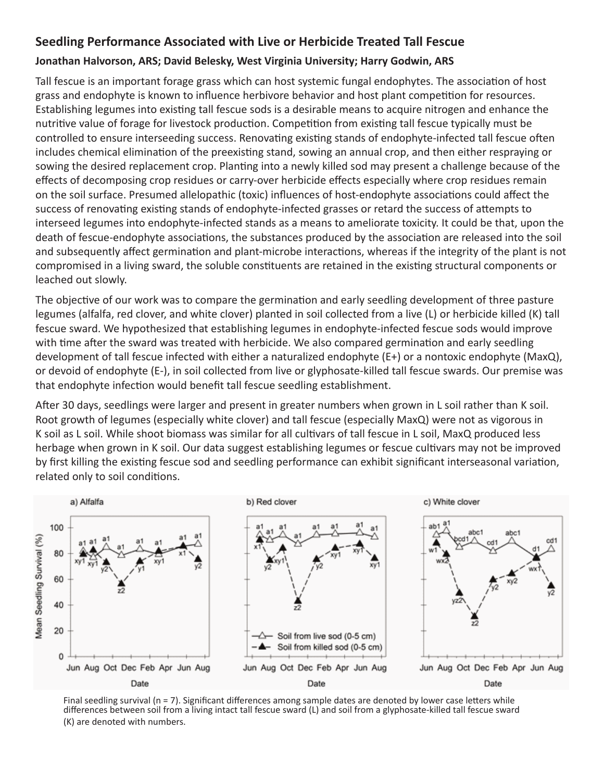## **Seedling Performance Associated with Live or Herbicide Treated Tall Fescue**

## **Jonathan Halvorson, ARS; David Belesky, West Virginia University; Harry Godwin, ARS**

Tall fescue is an important forage grass which can host systemic fungal endophytes. The association of host grass and endophyte is known to influence herbivore behavior and host plant competition for resources. Establishing legumes into existing tall fescue sods is a desirable means to acquire nitrogen and enhance the nutritive value of forage for livestock production. Competition from existing tall fescue typically must be controlled to ensure interseeding success. Renovating existing stands of endophyte-infected tall fescue often includes chemical elimination of the preexisting stand, sowing an annual crop, and then either respraying or sowing the desired replacement crop. Planting into a newly killed sod may present a challenge because of the effects of decomposing crop residues or carry-over herbicide effects especially where crop residues remain on the soil surface. Presumed allelopathic (toxic) influences of host-endophyte associations could affect the success of renovating existing stands of endophyte-infected grasses or retard the success of attempts to interseed legumes into endophyte-infected stands as a means to ameliorate toxicity. It could be that, upon the death of fescue-endophyte associations, the substances produced by the association are released into the soil and subsequently affect germination and plant-microbe interactions, whereas if the integrity of the plant is not compromised in a living sward, the soluble constituents are retained in the existing structural components or leached out slowly.

The objective of our work was to compare the germination and early seedling development of three pasture legumes (alfalfa, red clover, and white clover) planted in soil collected from a live (L) or herbicide killed (K) tall fescue sward. We hypothesized that establishing legumes in endophyte-infected fescue sods would improve with time after the sward was treated with herbicide. We also compared germination and early seedling development of tall fescue infected with either a naturalized endophyte (E+) or a nontoxic endophyte (MaxQ), or devoid of endophyte (E-), in soil collected from live or glyphosate-killed tall fescue swards. Our premise was that endophyte infection would benefit tall fescue seedling establishment.

After 30 days, seedlings were larger and present in greater numbers when grown in L soil rather than K soil. Root growth of legumes (especially white clover) and tall fescue (especially MaxQ) were not as vigorous in K soil as L soil. While shoot biomass was similar for all cultivars of tall fescue in L soil, MaxQ produced less herbage when grown in K soil. Our data suggest establishing legumes or fescue cultivars may not be improved by first killing the existing fescue sod and seedling performance can exhibit significant interseasonal variation, related only to soil conditions.



Final seedling survival (n = 7). Significant differences among sample dates are denoted by lower case letters while differences between soil from a living intact tall fescue sward (L) and soil from a glyphosate-killed tall fescue sward (K) are denoted with numbers.